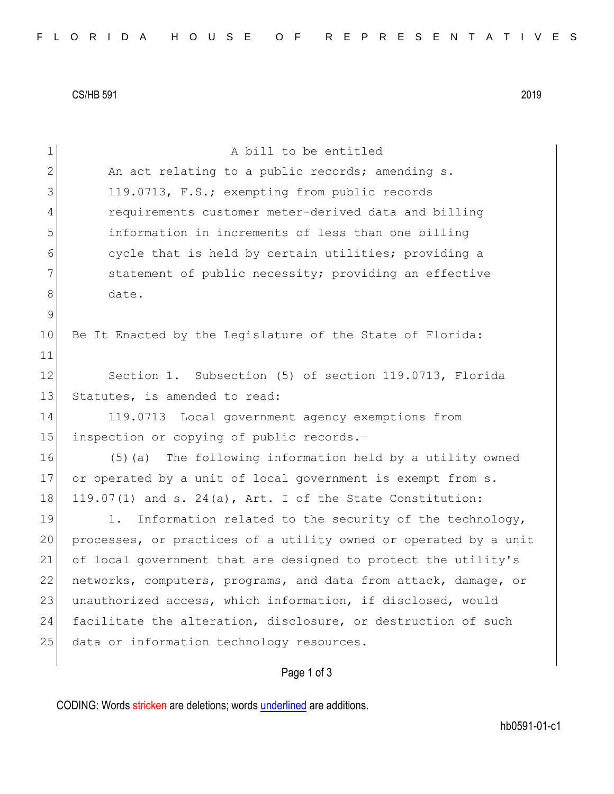CS/HB 591 2019

| $\mathbf 1$  | A bill to be entitled                                            |
|--------------|------------------------------------------------------------------|
| $\mathbf{2}$ | An act relating to a public records; amending s.                 |
| 3            | 119.0713, F.S.; exempting from public records                    |
| 4            | requirements customer meter-derived data and billing             |
| 5            | information in increments of less than one billing               |
| 6            | cycle that is held by certain utilities; providing a             |
| 7            | statement of public necessity; providing an effective            |
| 8            | date.                                                            |
| $\mathsf 9$  |                                                                  |
| 10           | Be It Enacted by the Legislature of the State of Florida:        |
| 11           |                                                                  |
| 12           | Section 1. Subsection (5) of section 119.0713, Florida           |
| 13           | Statutes, is amended to read:                                    |
| 14           | 119.0713 Local government agency exemptions from                 |
| 15           | inspection or copying of public records.-                        |
| 16           | (5) (a) The following information held by a utility owned        |
| 17           | or operated by a unit of local government is exempt from s.      |
| 18           | 119.07(1) and s. 24(a), Art. I of the State Constitution:        |
| 19           | Information related to the security of the technology,<br>1.     |
| 20           | processes, or practices of a utility owned or operated by a unit |
| 21           | of local government that are designed to protect the utility's   |
| 22           | networks, computers, programs, and data from attack, damage, or  |
| 23           | unauthorized access, which information, if disclosed, would      |
| 24           | facilitate the alteration, disclosure, or destruction of such    |
| 25           | data or information technology resources.                        |
|              | Page 1 of 3                                                      |

CODING: Words stricken are deletions; words underlined are additions.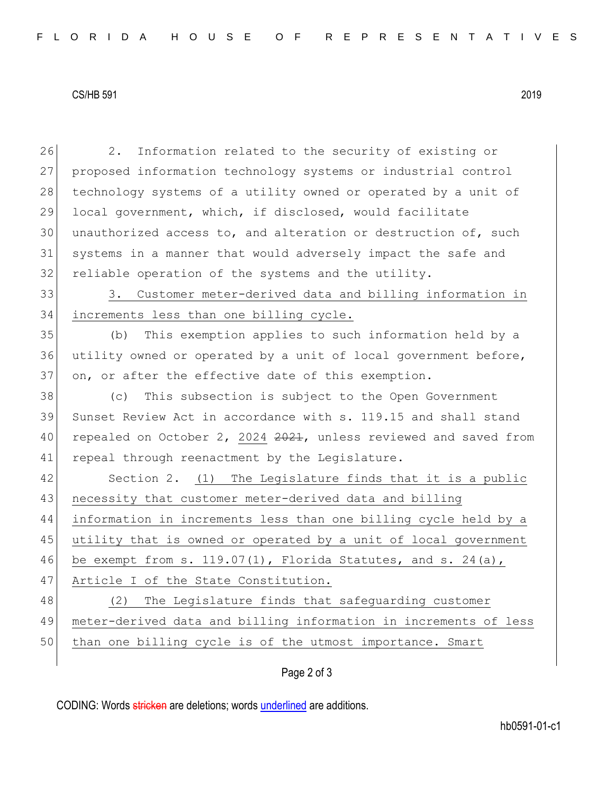## CS/HB 591 2019

26 2. Information related to the security of existing or 27 proposed information technology systems or industrial control 28 technology systems of a utility owned or operated by a unit of 29 local government, which, if disclosed, would facilitate  $30$  unauthorized access to, and alteration or destruction of, such 31 systems in a manner that would adversely impact the safe and 32 reliable operation of the systems and the utility. 33 3. Customer meter-derived data and billing information in 34 increments less than one billing cycle. 35 (b) This exemption applies to such information held by a 36 utility owned or operated by a unit of local government before, 37 on, or after the effective date of this exemption. 38 (c) This subsection is subject to the Open Government 39 Sunset Review Act in accordance with s. 119.15 and shall stand 40 repealed on October 2, 2024 2021, unless reviewed and saved from 41 repeal through reenactment by the Legislature. 42 Section 2. (1) The Legislature finds that it is a public 43 necessity that customer meter-derived data and billing 44 information in increments less than one billing cycle held by a 45 utility that is owned or operated by a unit of local government 46 be exempt from s. 119.07(1), Florida Statutes, and s. 24(a), 47 Article I of the State Constitution. 48 (2) The Legislature finds that safeguarding customer 49 meter-derived data and billing information in increments of less 50 than one billing cycle is of the utmost importance. Smart

Page 2 of 3

CODING: Words stricken are deletions; words underlined are additions.

hb0591-01-c1